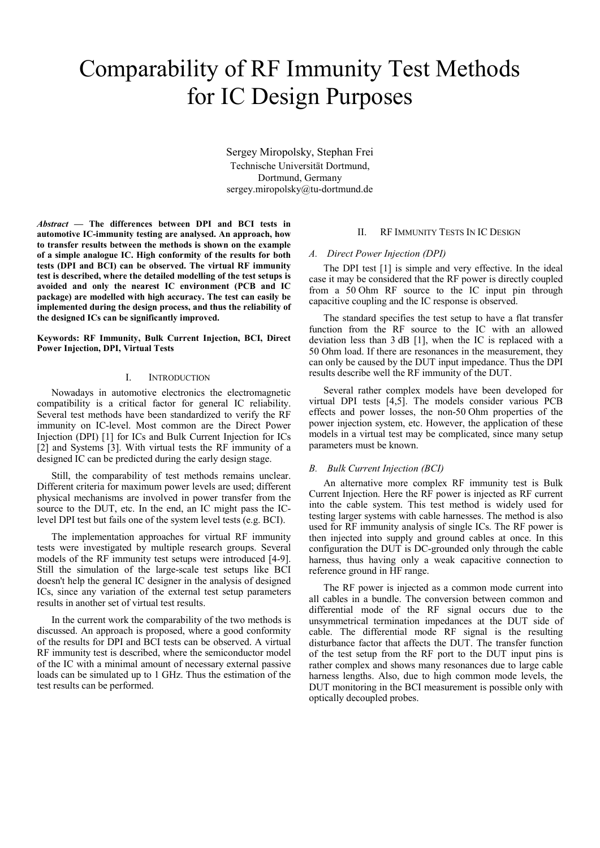# Comparability of RF Immunity Test Methods for IC Design Purposes

Sergey Miropolsky, Stephan Frei Technische Universität Dortmund, Dortmund, Germany sergey.miropolsky@tu-dortmund.de

*Abstract* **— The differences between DPI and BCI tests in automotive IC-immunity testing are analysed. An approach, how to transfer results between the methods is shown on the example of a simple analogue IC. High conformity of the results for both tests (DPI and BCI) can be observed. The virtual RF immunity test is described, where the detailed modelling of the test setups is avoided and only the nearest IC environment (PCB and IC package) are modelled with high accuracy. The test can easily be implemented during the design process, and thus the reliability of the designed ICs can be significantly improved.** 

**Keywords: RF Immunity, Bulk Current Injection, BCI, Direct Power Injection, DPI, Virtual Tests** 

## I. INTRODUCTION

Nowadays in automotive electronics the electromagnetic compatibility is a critical factor for general IC reliability. Several test methods have been standardized to verify the RF immunity on IC-level. Most common are the Direct Power Injection (DPI) [1] for ICs and Bulk Current Injection for ICs [2] and Systems [3]. With virtual tests the RF immunity of a designed IC can be predicted during the early design stage.

Still, the comparability of test methods remains unclear. Different criteria for maximum power levels are used; different physical mechanisms are involved in power transfer from the source to the DUT, etc. In the end, an IC might pass the IClevel DPI test but fails one of the system level tests (e.g. BCI).

The implementation approaches for virtual RF immunity tests were investigated by multiple research groups. Several models of the RF immunity test setups were introduced [4-9]. Still the simulation of the large-scale test setups like BCI doesn't help the general IC designer in the analysis of designed ICs, since any variation of the external test setup parameters results in another set of virtual test results.

In the current work the comparability of the two methods is discussed. An approach is proposed, where a good conformity of the results for DPI and BCI tests can be observed. A virtual RF immunity test is described, where the semiconductor model of the IC with a minimal amount of necessary external passive loads can be simulated up to 1 GHz. Thus the estimation of the test results can be performed.

## II. RF IMMUNITY TESTS IN IC DESIGN

# *A. Direct Power Injection (DPI)*

The DPI test [1] is simple and very effective. In the ideal case it may be considered that the RF power is directly coupled from a 50 Ohm RF source to the IC input pin through capacitive coupling and the IC response is observed.

The standard specifies the test setup to have a flat transfer function from the RF source to the IC with an allowed deviation less than 3 dB [1], when the IC is replaced with a 50 Ohm load. If there are resonances in the measurement, they can only be caused by the DUT input impedance. Thus the DPI results describe well the RF immunity of the DUT.

Several rather complex models have been developed for virtual DPI tests [4,5]. The models consider various PCB effects and power losses, the non-50 Ohm properties of the power injection system, etc. However, the application of these models in a virtual test may be complicated, since many setup parameters must be known.

## *B. Bulk Current Injection (BCI)*

An alternative more complex RF immunity test is Bulk Current Injection. Here the RF power is injected as RF current into the cable system. This test method is widely used for testing larger systems with cable harnesses. The method is also used for RF immunity analysis of single ICs. The RF power is then injected into supply and ground cables at once. In this configuration the DUT is DC-grounded only through the cable harness, thus having only a weak capacitive connection to reference ground in HF range.

The RF power is injected as a common mode current into all cables in a bundle. The conversion between common and differential mode of the RF signal occurs due to the unsymmetrical termination impedances at the DUT side of cable. The differential mode RF signal is the resulting disturbance factor that affects the DUT. The transfer function of the test setup from the RF port to the DUT input pins is rather complex and shows many resonances due to large cable harness lengths. Also, due to high common mode levels, the DUT monitoring in the BCI measurement is possible only with optically decoupled probes.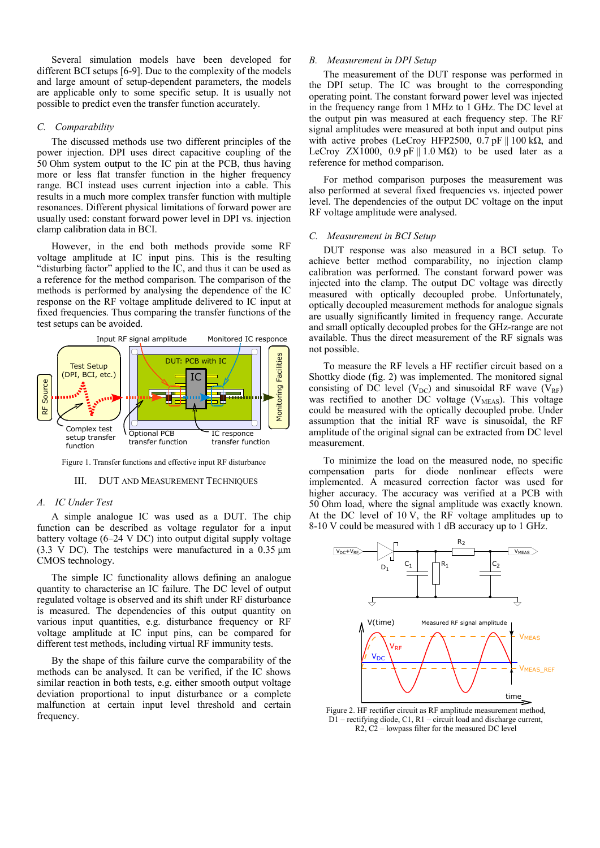Several simulation models have been developed for different BCI setups [6-9]. Due to the complexity of the models and large amount of setup-dependent parameters, the models are applicable only to some specific setup. It is usually not possible to predict even the transfer function accurately.

# *C. Comparability*

The discussed methods use two different principles of the power injection. DPI uses direct capacitive coupling of the 50 Ohm system output to the IC pin at the PCB, thus having more or less flat transfer function in the higher frequency range. BCI instead uses current injection into a cable. This results in a much more complex transfer function with multiple resonances. Different physical limitations of forward power are usually used: constant forward power level in DPI vs. injection clamp calibration data in BCI.

However, in the end both methods provide some RF voltage amplitude at IC input pins. This is the resulting "disturbing factor" applied to the IC, and thus it can be used as a reference for the method comparison. The comparison of the methods is performed by analysing the dependence of the IC response on the RF voltage amplitude delivered to IC input at fixed frequencies. Thus comparing the transfer functions of the test setups can be avoided.



Figure 1. Transfer functions and effective input RF disturbance

#### III. DUT AND MEASUREMENT TECHNIQUES

#### *A. IC Under Test*

A simple analogue IC was used as a DUT. The chip function can be described as voltage regulator for a input battery voltage (6–24 V DC) into output digital supply voltage (3.3 V DC). The testchips were manufactured in a 0.35 μm CMOS technology.

The simple IC functionality allows defining an analogue quantity to characterise an IC failure. The DC level of output regulated voltage is observed and its shift under RF disturbance is measured. The dependencies of this output quantity on various input quantities, e.g. disturbance frequency or RF voltage amplitude at IC input pins, can be compared for different test methods, including virtual RF immunity tests.

By the shape of this failure curve the comparability of the methods can be analysed. It can be verified, if the IC shows similar reaction in both tests, e.g. either smooth output voltage deviation proportional to input disturbance or a complete malfunction at certain input level threshold and certain frequency.

## *B. Measurement in DPI Setup*

The measurement of the DUT response was performed in the DPI setup. The IC was brought to the corresponding operating point. The constant forward power level was injected in the frequency range from 1 MHz to 1 GHz. The DC level at the output pin was measured at each frequency step. The RF signal amplitudes were measured at both input and output pins with active probes (LeCroy HFP2500, 0.7 pF  $\parallel$  100 kΩ, and LeCroy ZX1000, 0.9 pF || 1.0 M $\Omega$ ) to be used later as a reference for method comparison.

For method comparison purposes the measurement was also performed at several fixed frequencies vs. injected power level. The dependencies of the output DC voltage on the input RF voltage amplitude were analysed.

## *C. Measurement in BCI Setup*

DUT response was also measured in a BCI setup. To achieve better method comparability, no injection clamp calibration was performed. The constant forward power was injected into the clamp. The output DC voltage was directly measured with optically decoupled probe. Unfortunately, optically decoupled measurement methods for analogue signals are usually significantly limited in frequency range. Accurate and small optically decoupled probes for the GHz-range are not available. Thus the direct measurement of the RF signals was not possible.

To measure the RF levels a HF rectifier circuit based on a Shottky diode (fig. 2) was implemented. The monitored signal consisting of DC level  $(V_{DC})$  and sinusoidal RF wave  $(V_{RF})$ was rectified to another  $\overrightarrow{DC}$  voltage (V<sub>MEAS</sub>). This voltage could be measured with the optically decoupled probe. Under assumption that the initial RF wave is sinusoidal, the RF amplitude of the original signal can be extracted from DC level measurement.

To minimize the load on the measured node, no specific compensation parts for diode nonlinear effects were implemented. A measured correction factor was used for higher accuracy. The accuracy was verified at a PCB with 50 Ohm load, where the signal amplitude was exactly known. At the DC level of 10 V, the RF voltage amplitudes up to 8-10 V could be measured with 1 dB accuracy up to 1 GHz.



Figure 2. HF rectifier circuit as RF amplitude measurement method, D1 – rectifying diode, C1, R1 – circuit load and discharge current, R2, C2 – lowpass filter for the measured DC level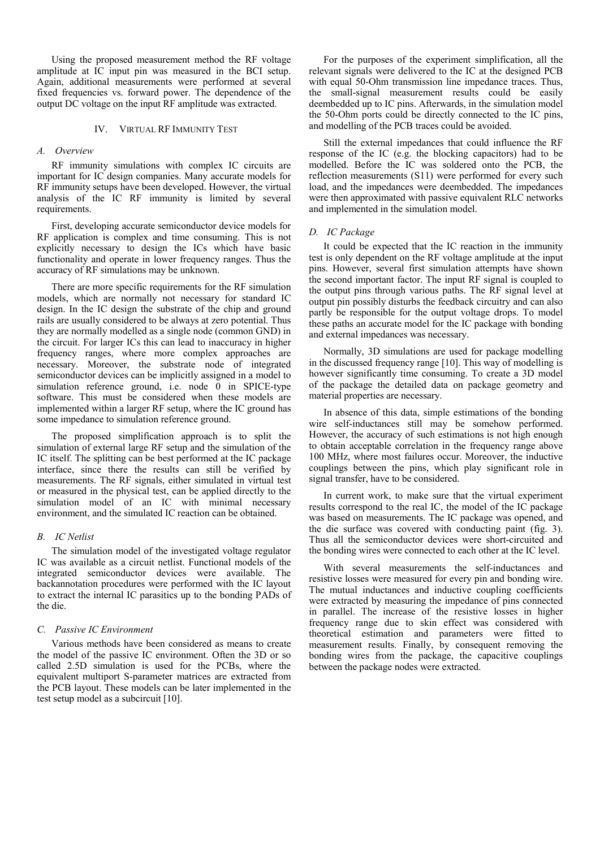Using the proposed measurement method the RF voltage amplitude at IC input pin was measured in the BCI setup. Again, additional measurements were performed at several fixed frequencies vs. forward power. The dependence of the output DC voltage on the input RF amplitude was extracted.

## IV. VIRTUAL RF IMMUNITY TEST

# *A. Overview*

RF immunity simulations with complex IC circuits are important for IC design companies. Many accurate models for RF immunity setups have been developed. However, the virtual analysis of the IC RF immunity is limited by several requirements.

First, developing accurate semiconductor device models for RF application is complex and time consuming. This is not explicitly necessary to design the ICs which have basic functionality and operate in lower frequency ranges. Thus the accuracy of RF simulations may be unknown.

There are more specific requirements for the RF simulation models, which are normally not necessary for standard IC design. In the IC design the substrate of the chip and ground rails are usually considered to be always at zero potential. Thus they are normally modelled as a single node (common GND) in the circuit. For larger ICs this can lead to inaccuracy in higher frequency ranges, where more complex approaches are necessary. Moreover, the substrate node of integrated semiconductor devices can be implicitly assigned in a model to simulation reference ground, i.e. node  $\overline{0}$  in SPICE-type software. This must be considered when these models are implemented within a larger RF setup, where the IC ground has some impedance to simulation reference ground.

The proposed simplification approach is to split the simulation of external large RF setup and the simulation of the IC itself. The splitting can be best performed at the IC package interface, since there the results can still be verified by measurements. The RF signals, either simulated in virtual test or measured in the physical test, can be applied directly to the simulation model of an IC with minimal necessary environment, and the simulated IC reaction can be obtained.

## *B. IC Netlist*

The simulation model of the investigated voltage regulator IC was available as a circuit netlist. Functional models of the integrated semiconductor devices were available. The backannotation procedures were performed with the IC layout to extract the internal IC parasitics up to the bonding PADs of the die.

#### *C. Passive IC Environment*

Various methods have been considered as means to create the model of the passive IC environment. Often the 3D or so called 2.5D simulation is used for the PCBs, where the equivalent multiport S-parameter matrices are extracted from the PCB layout. These models can be later implemented in the test setup model as a subcircuit [10].

For the purposes of the experiment simplification, all the relevant signals were delivered to the IC at the designed PCB with equal 50-Ohm transmission line impedance traces. Thus, the small-signal measurement results could be easily deembedded up to IC pins. Afterwards, in the simulation model the 50-Ohm ports could be directly connected to the IC pins, and modelling of the PCB traces could be avoided.

Still the external impedances that could influence the RF response of the IC (e.g. the blocking capacitors) had to be modelled. Before the IC was soldered onto the PCB, the reflection measurements (S11) were performed for every such load, and the impedances were deembedded. The impedances were then approximated with passive equivalent RLC networks and implemented in the simulation model.

## *D. IC Package*

It could be expected that the IC reaction in the immunity test is only dependent on the RF voltage amplitude at the input pins. However, several first simulation attempts have shown the second important factor. The input RF signal is coupled to the output pins through various paths. The RF signal level at output pin possibly disturbs the feedback circuitry and can also partly be responsible for the output voltage drops. To model these paths an accurate model for the IC package with bonding and external impedances was necessary.

Normally, 3D simulations are used for package modelling in the discussed frequency range [10]. This way of modelling is however significantly time consuming. To create a 3D model of the package the detailed data on package geometry and material properties are necessary.

In absence of this data, simple estimations of the bonding wire self-inductances still may be somehow performed. However, the accuracy of such estimations is not high enough to obtain acceptable correlation in the frequency range above 100 MHz, where most failures occur. Moreover, the inductive couplings between the pins, which play significant role in signal transfer, have to be considered.

In current work, to make sure that the virtual experiment results correspond to the real IC, the model of the IC package was based on measurements. The IC package was opened, and the die surface was covered with conducting paint (fig. 3). Thus all the semiconductor devices were short-circuited and the bonding wires were connected to each other at the IC level.

With several measurements the self-inductances and resistive losses were measured for every pin and bonding wire. The mutual inductances and inductive coupling coefficients were extracted by measuring the impedance of pins connected in parallel. The increase of the resistive losses in higher frequency range due to skin effect was considered with theoretical estimation and parameters were fitted to measurement results. Finally, by consequent removing the bonding wires from the package, the capacitive couplings between the package nodes were extracted.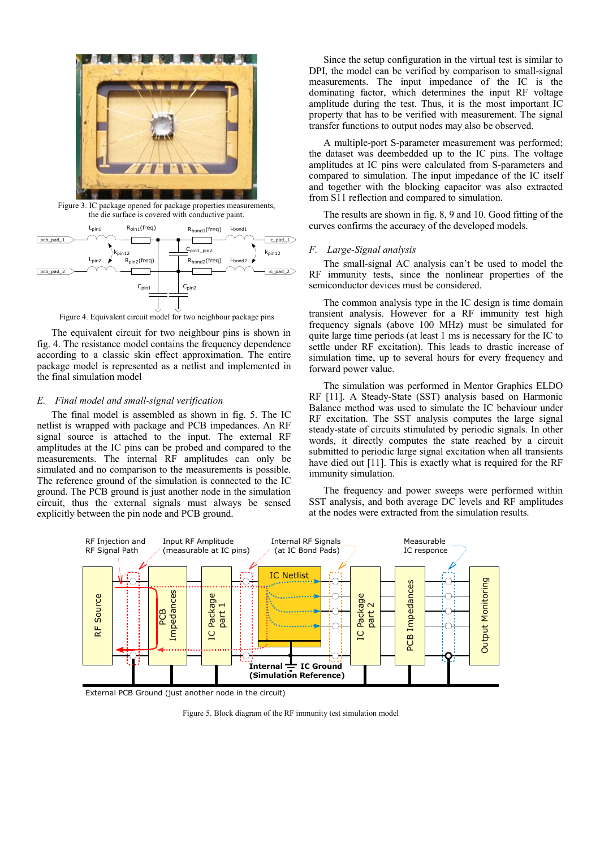

Figure 3. IC package opened for package properties measurements; the die surface is covered with conductive paint.



Figure 4. Equivalent circuit model for two neighbour package pins

The equivalent circuit for two neighbour pins is shown in fig. 4. The resistance model contains the frequency dependence according to a classic skin effect approximation. The entire package model is represented as a netlist and implemented in the final simulation model

# *E. Final model and small-signal verification*

The final model is assembled as shown in fig. 5. The IC netlist is wrapped with package and PCB impedances. An RF signal source is attached to the input. The external RF amplitudes at the IC pins can be probed and compared to the measurements. The internal RF amplitudes can only be simulated and no comparison to the measurements is possible. The reference ground of the simulation is connected to the IC ground. The PCB ground is just another node in the simulation circuit, thus the external signals must always be sensed explicitly between the pin node and PCB ground.

Since the setup configuration in the virtual test is similar to DPI, the model can be verified by comparison to small-signal measurements. The input impedance of the IC is the dominating factor, which determines the input RF voltage amplitude during the test. Thus, it is the most important IC property that has to be verified with measurement. The signal transfer functions to output nodes may also be observed.

A multiple-port S-parameter measurement was performed; the dataset was deembedded up to the IC pins. The voltage amplitudes at IC pins were calculated from S-parameters and compared to simulation. The input impedance of the IC itself and together with the blocking capacitor was also extracted from S11 reflection and compared to simulation.

The results are shown in fig. 8, 9 and 10. Good fitting of the curves confirms the accuracy of the developed models.

## *F. Large-Signal analysis*

The small-signal AC analysis can't be used to model the RF immunity tests, since the nonlinear properties of the semiconductor devices must be considered.

The common analysis type in the IC design is time domain transient analysis. However for a RF immunity test high frequency signals (above 100 MHz) must be simulated for quite large time periods (at least 1 ms is necessary for the IC to settle under RF excitation). This leads to drastic increase of simulation time, up to several hours for every frequency and forward power value.

The simulation was performed in Mentor Graphics ELDO RF [11]. A Steady-State (SST) analysis based on Harmonic Balance method was used to simulate the IC behaviour under RF excitation. The SST analysis computes the large signal steady-state of circuits stimulated by periodic signals. In other words, it directly computes the state reached by a circuit submitted to periodic large signal excitation when all transients have died out [11]. This is exactly what is required for the RF immunity simulation.

The frequency and power sweeps were performed within SST analysis, and both average DC levels and RF amplitudes at the nodes were extracted from the simulation results.



External PCB Ground (just another node in the circuit)

Figure 5. Block diagram of the RF immunity test simulation model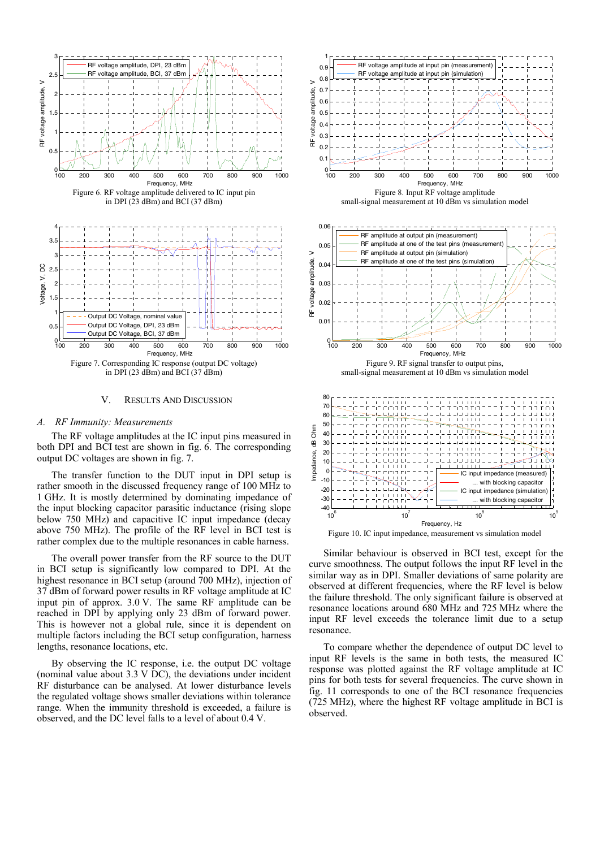

#### V. RESULTS AND DISCUSSION

#### *A. RF Immunity: Measurements*

The RF voltage amplitudes at the IC input pins measured in both DPI and BCI test are shown in fig. 6. The corresponding output DC voltages are shown in fig. 7.

The transfer function to the DUT input in DPI setup is rather smooth in the discussed frequency range of 100 MHz to 1 GHz. It is mostly determined by dominating impedance of the input blocking capacitor parasitic inductance (rising slope below 750 MHz) and capacitive IC input impedance (decay above 750 MHz). The profile of the RF level in BCI test is rather complex due to the multiple resonances in cable harness.

The overall power transfer from the RF source to the DUT in BCI setup is significantly low compared to DPI. At the highest resonance in BCI setup (around 700 MHz), injection of 37 dBm of forward power results in RF voltage amplitude at IC input pin of approx. 3.0 V. The same RF amplitude can be reached in DPI by applying only 23 dBm of forward power. This is however not a global rule, since it is dependent on multiple factors including the BCI setup configuration, harness lengths, resonance locations, etc.

By observing the IC response, i.e. the output DC voltage (nominal value about 3.3 V DC), the deviations under incident RF disturbance can be analysed. At lower disturbance levels the regulated voltage shows smaller deviations within tolerance range. When the immunity threshold is exceeded, a failure is observed, and the DC level falls to a level of about 0.4 V.







Similar behaviour is observed in BCI test, except for the curve smoothness. The output follows the input RF level in the similar way as in DPI. Smaller deviations of same polarity are observed at different frequencies, where the RF level is below the failure threshold. The only significant failure is observed at resonance locations around 680 MHz and 725 MHz where the input RF level exceeds the tolerance limit due to a setup resonance.

To compare whether the dependence of output DC level to input RF levels is the same in both tests, the measured IC response was plotted against the RF voltage amplitude at IC pins for both tests for several frequencies. The curve shown in fig. 11 corresponds to one of the BCI resonance frequencies (725 MHz), where the highest RF voltage amplitude in BCI is observed.